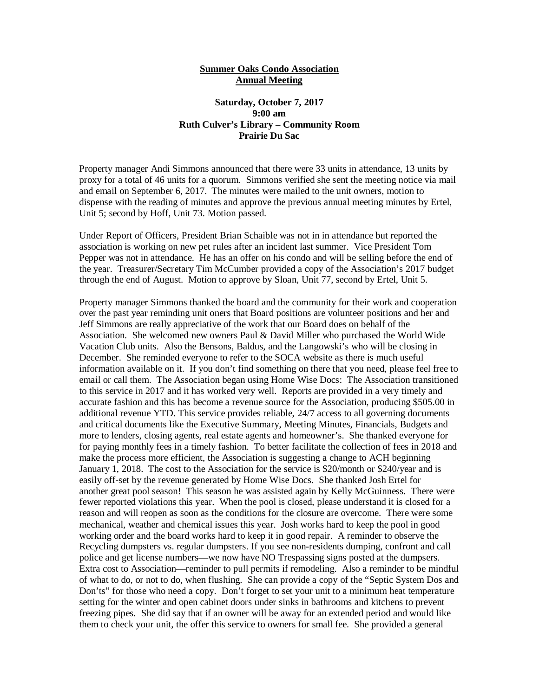## **Summer Oaks Condo Association Annual Meeting**

## **Saturday, October 7, 2017 9:00 am Ruth Culver's Library – Community Room Prairie Du Sac**

Property manager Andi Simmons announced that there were 33 units in attendance, 13 units by proxy for a total of 46 units for a quorum. Simmons verified she sent the meeting notice via mail and email on September 6, 2017. The minutes were mailed to the unit owners, motion to dispense with the reading of minutes and approve the previous annual meeting minutes by Ertel, Unit 5; second by Hoff, Unit 73. Motion passed.

Under Report of Officers, President Brian Schaible was not in in attendance but reported the association is working on new pet rules after an incident last summer. Vice President Tom Pepper was not in attendance. He has an offer on his condo and will be selling before the end of the year. Treasurer/Secretary Tim McCumber provided a copy of the Association's 2017 budget through the end of August. Motion to approve by Sloan, Unit 77, second by Ertel, Unit 5.

Property manager Simmons thanked the board and the community for their work and cooperation over the past year reminding unit oners that Board positions are volunteer positions and her and Jeff Simmons are really appreciative of the work that our Board does on behalf of the Association. She welcomed new owners Paul & David Miller who purchased the World Wide Vacation Club units. Also the Bensons, Baldus, and the Langowski's who will be closing in December. She reminded everyone to refer to the SOCA website as there is much useful information available on it. If you don't find something on there that you need, please feel free to email or call them. The Association began using Home Wise Docs: The Association transitioned to this service in 2017 and it has worked very well. Reports are provided in a very timely and accurate fashion and this has become a revenue source for the Association, producing \$505.00 in additional revenue YTD. This service provides reliable, 24/7 access to all governing documents and critical documents like the Executive Summary, Meeting Minutes, Financials, Budgets and more to lenders, closing agents, real estate agents and homeowner's. She thanked everyone for for paying monthly fees in a timely fashion. To better facilitate the collection of fees in 2018 and make the process more efficient, the Association is suggesting a change to ACH beginning January 1, 2018. The cost to the Association for the service is \$20/month or \$240/year and is easily off-set by the revenue generated by Home Wise Docs. She thanked Josh Ertel for another great pool season! This season he was assisted again by Kelly McGuinness. There were fewer reported violations this year. When the pool is closed, please understand it is closed for a reason and will reopen as soon as the conditions for the closure are overcome. There were some mechanical, weather and chemical issues this year. Josh works hard to keep the pool in good working order and the board works hard to keep it in good repair. A reminder to observe the Recycling dumpsters vs. regular dumpsters. If you see non-residents dumping, confront and call police and get license numbers—we now have NO Trespassing signs posted at the dumpsers. Extra cost to Association—reminder to pull permits if remodeling. Also a reminder to be mindful of what to do, or not to do, when flushing. She can provide a copy of the "Septic System Dos and Don'ts" for those who need a copy. Don't forget to set your unit to a minimum heat temperature setting for the winter and open cabinet doors under sinks in bathrooms and kitchens to prevent freezing pipes. She did say that if an owner will be away for an extended period and would like them to check your unit, the offer this service to owners for small fee. She provided a general